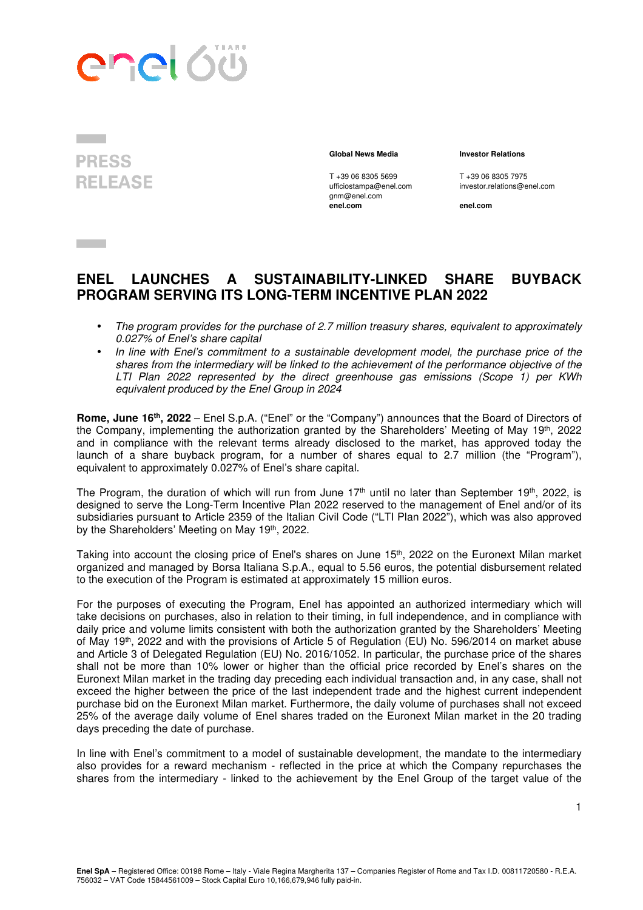



gnm@enel.com<br>enel.com

## **Global News Media Investor Relations**

T +39 06 8305 5699 T +39 06 8305 7975<br>
ufficiostampa@enel.com investor.relations@e investor.relations@enel.com

**enel.com enel.com**

## **ENEL LAUNCHES A SUSTAINABILITY-LINKED SHARE BUYBACK PROGRAM SERVING ITS LONG-TERM INCENTIVE PLAN 2022**

- The program provides for the purchase of 2.7 million treasury shares, equivalent to approximately 0.027% of Enel's share capital
- In line with Enel's commitment to a sustainable development model, the purchase price of the shares from the intermediary will be linked to the achievement of the performance objective of the LTI Plan 2022 represented by the direct greenhouse gas emissions (Scope 1) per KWh equivalent produced by the Enel Group in 2024

**Rome, June 16th, 2022** – Enel S.p.A. ("Enel" or the "Company") announces that the Board of Directors of the Company, implementing the authorization granted by the Shareholders' Meeting of May 19<sup>th</sup>, 2022 and in compliance with the relevant terms already disclosed to the market, has approved today the launch of a share buyback program, for a number of shares equal to 2.7 million (the "Program"), equivalent to approximately 0.027% of Enel's share capital.

The Program, the duration of which will run from June  $17<sup>th</sup>$  until no later than September 19<sup>th</sup>, 2022, is designed to serve the Long-Term Incentive Plan 2022 reserved to the management of Enel and/or of its subsidiaries pursuant to Article 2359 of the Italian Civil Code ("LTI Plan 2022"), which was also approved by the Shareholders' Meeting on May 19th, 2022.

Taking into account the closing price of Enel's shares on June 15th, 2022 on the Euronext Milan market organized and managed by Borsa Italiana S.p.A., equal to 5.56 euros, the potential disbursement related to the execution of the Program is estimated at approximately 15 million euros.

For the purposes of executing the Program, Enel has appointed an authorized intermediary which will take decisions on purchases, also in relation to their timing, in full independence, and in compliance with daily price and volume limits consistent with both the authorization granted by the Shareholders' Meeting of May 19<sup>th</sup>, 2022 and with the provisions of Article 5 of Regulation (EU) No. 596/2014 on market abuse and Article 3 of Delegated Regulation (EU) No. 2016/1052. In particular, the purchase price of the shares shall not be more than 10% lower or higher than the official price recorded by Enel's shares on the Euronext Milan market in the trading day preceding each individual transaction and, in any case, shall not exceed the higher between the price of the last independent trade and the highest current independent purchase bid on the Euronext Milan market. Furthermore, the daily volume of purchases shall not exceed 25% of the average daily volume of Enel shares traded on the Euronext Milan market in the 20 trading days preceding the date of purchase.

In line with Enel's commitment to a model of sustainable development, the mandate to the intermediary also provides for a reward mechanism - reflected in the price at which the Company repurchases the shares from the intermediary - linked to the achievement by the Enel Group of the target value of the